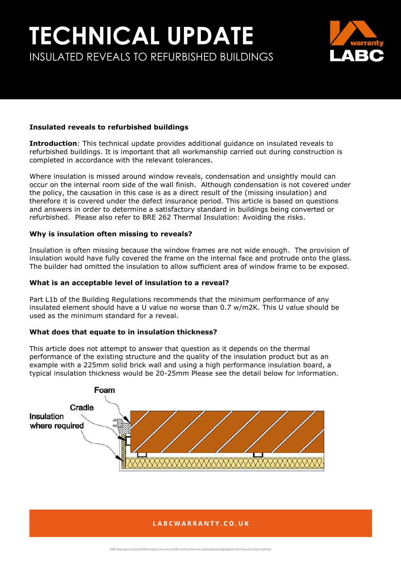# **TECHNICAL UPDATE** INSULATED REVEALS TO REFURBISHED BUILDINGS



### **Insulated reveals to refurbished buildings**

**Introduction**: This technical update provides additional guidance on insulated reveals to refurbished buildings. It is important that all workmanship carried out during construction is completed in accordance with the relevant tolerances.

Where insulation is missed around window reveals, condensation and unsightly mould can occur on the internal room side of the wall finish. Although condensation is not covered under the policy, the causation in this case is as a direct result of the (missing insulation) and therefore it is covered under the defect insurance period. This article is based on questions and answers in order to determine a satisfactory standard in buildings being converted or refurbished. Please also refer to BRE 262 Thermal Insulation: Avoiding the risks.

### **Why is insulation often missing to reveals?**

Insulation is often missing because the window frames are not wide enough. The provision of insulation would have fully covered the frame on the internal face and protrude onto the glass. The builder had omitted the insulation to allow sufficient area of window frame to be exposed.

### **What is an acceptable level of insulation to a reveal?**

Part L1b of the Building Regulations recommends that the minimum performance of any insulated element should have a U value no worse than 0.7 w/m2K. This U value should be used as the minimum standard for a reveal.

### **What does that equate to in insulation thickness?**

This article does not attempt to answer that question as it depends on the thermal performance of the existing structure and the quality of the insulation product but as an example with a 225mm solid brick wall and using a high performance insulation board, a typical insulation thickness would be 20-25mm Please see the detail below for information.



### LABCWARRANTY.CO.UK